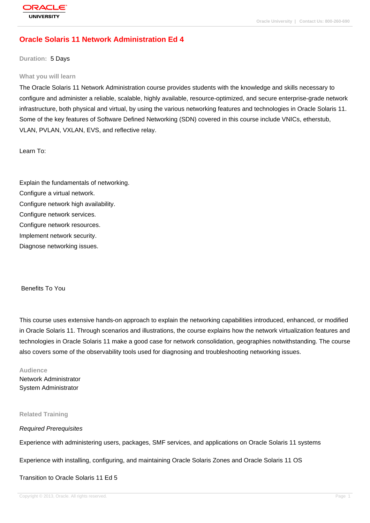## **[Oracle Solaris](http://education.oracle.com/pls/web_prod-plq-dad/db_pages.getpage?page_id=3) 11 Network Administration Ed 4**

**Duration:** 5 Days

#### **What you will learn**

The Oracle Solaris 11 Network Administration course provides students with the knowledge and skills necessary to configure and administer a reliable, scalable, highly available, resource-optimized, and secure enterprise-grade network infrastructure, both physical and virtual, by using the various networking features and technologies in Oracle Solaris 11. Some of the key features of Software Defined Networking (SDN) covered in this course include VNICs, etherstub, VLAN, PVLAN, VXLAN, EVS, and reflective relay.

Learn To:

Explain the fundamentals of networking. Configure a virtual network. Configure network high availability. Configure network services. Configure network resources. Implement network security.

Diagnose networking issues.

Benefits To You

This course uses extensive hands-on approach to explain the networking capabilities introduced, enhanced, or modified in Oracle Solaris 11. Through scenarios and illustrations, the course explains how the network virtualization features and technologies in Oracle Solaris 11 make a good case for network consolidation, geographies notwithstanding. The course also covers some of the observability tools used for diagnosing and troubleshooting networking issues.

**Audience** Network Administrator System Administrator

**Related Training**

#### Required Prerequisites

Experience with administering users, packages, SMF services, and applications on Oracle Solaris 11 systems

Experience with installing, configuring, and maintaining Oracle Solaris Zones and Oracle Solaris 11 OS

Transition to Oracle Solaris 11 Ed 5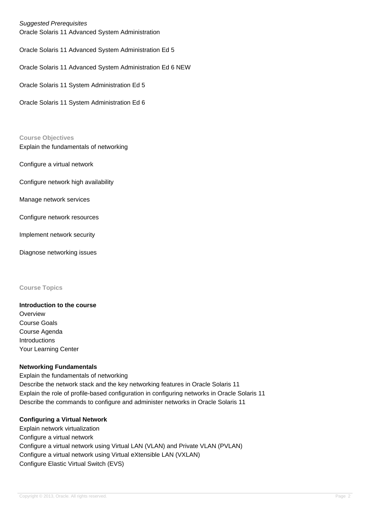## Suggested Prerequisites

Oracle Solaris 11 Advanced System Administration

Oracle Solaris 11 Advanced System Administration Ed 5

Oracle Solaris 11 Advanced System Administration Ed 6 NEW

Oracle Solaris 11 System Administration Ed 5

Oracle Solaris 11 System Administration Ed 6

#### **Course Objectives**

Explain the fundamentals of networking

Configure a virtual network

Configure network high availability

Manage network services

Configure network resources

Implement network security

Diagnose networking issues

#### **Course Topics**

# **Introduction to the course**

**Overview** Course Goals Course Agenda Introductions Your Learning Center

#### **Networking Fundamentals**

Explain the fundamentals of networking Describe the network stack and the key networking features in Oracle Solaris 11 Explain the role of profile-based configuration in configuring networks in Oracle Solaris 11 Describe the commands to configure and administer networks in Oracle Solaris 11

### **Configuring a Virtual Network**

Explain network virtualization Configure a virtual network Configure a virtual network using Virtual LAN (VLAN) and Private VLAN (PVLAN) Configure a virtual network using Virtual eXtensible LAN (VXLAN) Configure Elastic Virtual Switch (EVS)